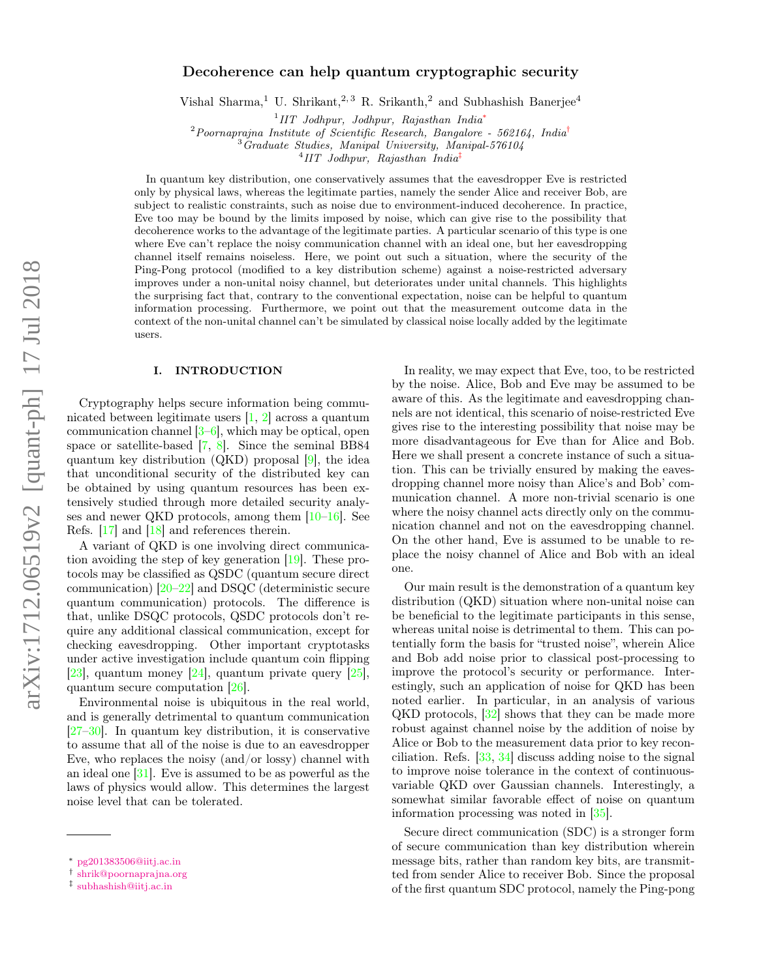# Decoherence can help quantum cryptographic security

Vishal Sharma,<sup>1</sup> U. Shrikant,<sup>2, 3</sup> R. Srikanth,<sup>2</sup> and Subhashish Banerjee<sup>4</sup>

1 *IIT Jodhpur, Jodhpur, Rajasthan India*<sup>∗</sup>

<sup>2</sup>*Poornaprajna Institute of Scientific Research, Bangalore - 562164, India*†

<sup>3</sup>*Graduate Studies, Manipal University, Manipal-576104*

4 *IIT Jodhpur, Rajasthan India*‡

In quantum key distribution, one conservatively assumes that the eavesdropper Eve is restricted only by physical laws, whereas the legitimate parties, namely the sender Alice and receiver Bob, are subject to realistic constraints, such as noise due to environment-induced decoherence. In practice, Eve too may be bound by the limits imposed by noise, which can give rise to the possibility that decoherence works to the advantage of the legitimate parties. A particular scenario of this type is one where Eve can't replace the noisy communication channel with an ideal one, but her eavesdropping channel itself remains noiseless. Here, we point out such a situation, where the security of the Ping-Pong protocol (modified to a key distribution scheme) against a noise-restricted adversary improves under a non-unital noisy channel, but deteriorates under unital channels. This highlights the surprising fact that, contrary to the conventional expectation, noise can be helpful to quantum information processing. Furthermore, we point out that the measurement outcome data in the context of the non-unital channel can't be simulated by classical noise locally added by the legitimate users.

### I. INTRODUCTION

Cryptography helps secure information being communicated between legitimate users [1, 2] across a quantum communication channel [3–6], which may be optical, open space or satellite-based [7, 8]. Since the seminal BB84 quantum key distribution (QKD) proposal [9], the idea that unconditional security of the distributed key can be obtained by using quantum resources has been extensively studied through more detailed security analyses and newer QKD protocols, among them [10–16]. See Refs. [17] and [18] and references therein.

A variant of QKD is one involving direct communication avoiding the step of key generation [19]. These protocols may be classified as QSDC (quantum secure direct communication) [20–22] and DSQC (deterministic secure quantum communication) protocols. The difference is that, unlike DSQC protocols, QSDC protocols don't require any additional classical communication, except for checking eavesdropping. Other important cryptotasks under active investigation include quantum coin flipping  $[23]$ , quantum money  $[24]$ , quantum private query  $[25]$ , quantum secure computation [26].

Environmental noise is ubiquitous in the real world, and is generally detrimental to quantum communication [27–30]. In quantum key distribution, it is conservative to assume that all of the noise is due to an eavesdropper Eve, who replaces the noisy (and/or lossy) channel with an ideal one [31]. Eve is assumed to be as powerful as the laws of physics would allow. This determines the largest noise level that can be tolerated.

In reality, we may expect that Eve, too, to be restricted by the noise. Alice, Bob and Eve may be assumed to be aware of this. As the legitimate and eavesdropping channels are not identical, this scenario of noise-restricted Eve gives rise to the interesting possibility that noise may be more disadvantageous for Eve than for Alice and Bob. Here we shall present a concrete instance of such a situation. This can be trivially ensured by making the eavesdropping channel more noisy than Alice's and Bob' communication channel. A more non-trivial scenario is one where the noisy channel acts directly only on the communication channel and not on the eavesdropping channel. On the other hand, Eve is assumed to be unable to replace the noisy channel of Alice and Bob with an ideal one.

Our main result is the demonstration of a quantum key distribution (QKD) situation where non-unital noise can be beneficial to the legitimate participants in this sense, whereas unital noise is detrimental to them. This can potentially form the basis for "trusted noise", wherein Alice and Bob add noise prior to classical post-processing to improve the protocol's security or performance. Interestingly, such an application of noise for QKD has been noted earlier. In particular, in an analysis of various QKD protocols, [32] shows that they can be made more robust against channel noise by the addition of noise by Alice or Bob to the measurement data prior to key reconciliation. Refs. [33, 34] discuss adding noise to the signal to improve noise tolerance in the context of continuousvariable QKD over Gaussian channels. Interestingly, a somewhat similar favorable effect of noise on quantum information processing was noted in [35].

Secure direct communication (SDC) is a stronger form of secure communication than key distribution wherein message bits, rather than random key bits, are transmitted from sender Alice to receiver Bob. Since the proposal of the first quantum SDC protocol, namely the Ping-pong

<sup>∗</sup> pg201383506@iitj.ac.in

<sup>†</sup> shrik@poornaprajna.org

<sup>‡</sup> subhashish@iitj.ac.in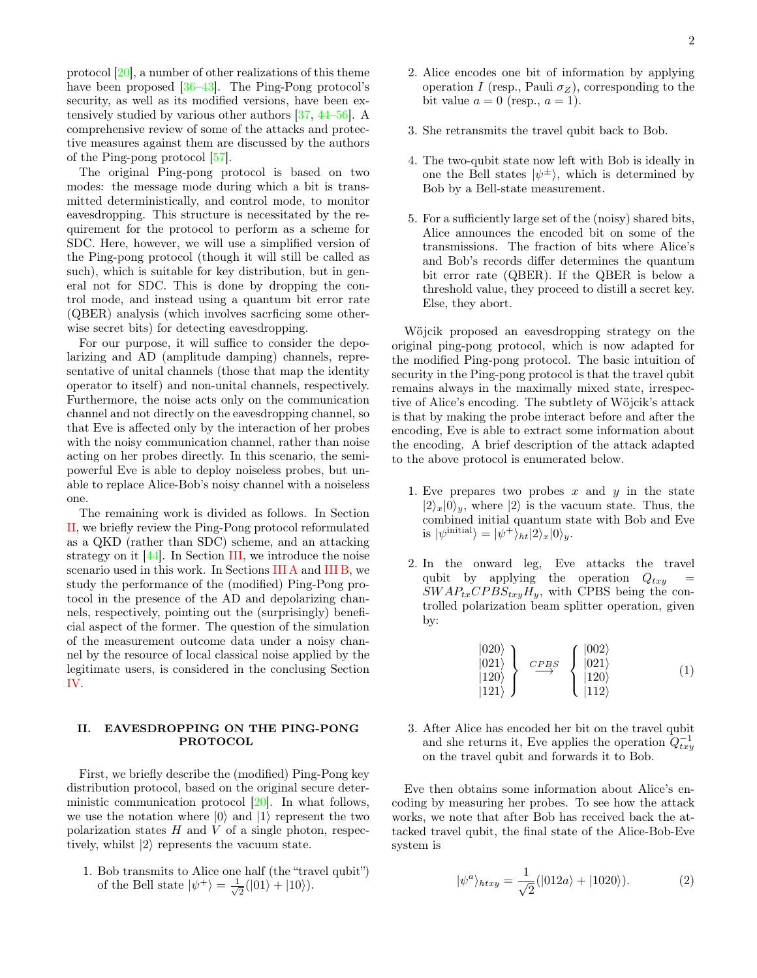protocol [20], a number of other realizations of this theme have been proposed [36–43]. The Ping-Pong protocol's security, as well as its modified versions, have been extensively studied by various other authors [37, 44–56]. A comprehensive review of some of the attacks and protective measures against them are discussed by the authors of the Ping-pong protocol [57].

The original Ping-pong protocol is based on two modes: the message mode during which a bit is transmitted deterministically, and control mode, to monitor eavesdropping. This structure is necessitated by the requirement for the protocol to perform as a scheme for SDC. Here, however, we will use a simplified version of the Ping-pong protocol (though it will still be called as such), which is suitable for key distribution, but in general not for SDC. This is done by dropping the control mode, and instead using a quantum bit error rate (QBER) analysis (which involves sacrficing some otherwise secret bits) for detecting eavesdropping.

For our purpose, it will suffice to consider the depolarizing and AD (amplitude damping) channels, representative of unital channels (those that map the identity operator to itself) and non-unital channels, respectively. Furthermore, the noise acts only on the communication channel and not directly on the eavesdropping channel, so that Eve is affected only by the interaction of her probes with the noisy communication channel, rather than noise acting on her probes directly. In this scenario, the semipowerful Eve is able to deploy noiseless probes, but unable to replace Alice-Bob's noisy channel with a noiseless one.

The remaining work is divided as follows. In Section II, we briefly review the Ping-Pong protocol reformulated as a QKD (rather than SDC) scheme, and an attacking strategy on it  $[44]$ . In Section III, we introduce the noise scenario used in this work. In Sections III A and III B, we study the performance of the (modified) Ping-Pong protocol in the presence of the AD and depolarizing channels, respectively, pointing out the (surprisingly) beneficial aspect of the former. The question of the simulation of the measurement outcome data under a noisy channel by the resource of local classical noise applied by the legitimate users, is considered in the conclusing Section IV.

## II. EAVESDROPPING ON THE PING-PONG PROTOCOL

First, we briefly describe the (modified) Ping-Pong key distribution protocol, based on the original secure deterministic communication protocol [20]. In what follows, we use the notation where  $|0\rangle$  and  $|1\rangle$  represent the two polarization states  $H$  and  $V$  of a single photon, respectively, whilst  $|2\rangle$  represents the vacuum state.

1. Bob transmits to Alice one half (the "travel qubit") of the Bell state  $|\psi^+\rangle = \frac{1}{\sqrt{2}}$  $\frac{1}{2}(|01\rangle + |10\rangle).$ 

- 2. Alice encodes one bit of information by applying operation I (resp., Pauli  $\sigma_Z$ ), corresponding to the bit value  $a = 0$  (resp.,  $a = 1$ ).
- 3. She retransmits the travel qubit back to Bob.
- 4. The two-qubit state now left with Bob is ideally in one the Bell states  $|\psi^{\pm}\rangle$ , which is determined by Bob by a Bell-state measurement.
- 5. For a sufficiently large set of the (noisy) shared bits, Alice announces the encoded bit on some of the transmissions. The fraction of bits where Alice's and Bob's records differ determines the quantum bit error rate (QBER). If the QBER is below a threshold value, they proceed to distill a secret key. Else, they abort.

Wöjcik proposed an eavesdropping strategy on the original ping-pong protocol, which is now adapted for the modified Ping-pong protocol. The basic intuition of security in the Ping-pong protocol is that the travel qubit remains always in the maximally mixed state, irrespective of Alice's encoding. The subtlety of Wöjcik's attack is that by making the probe interact before and after the encoding, Eve is able to extract some information about the encoding. A brief description of the attack adapted to the above protocol is enumerated below.

- 1. Eve prepares two probes x and y in the state  $|2\rangle_x|0\rangle_y$ , where  $|2\rangle$  is the vacuum state. Thus, the combined initial quantum state with Bob and Eve is  $|\psi^{\text{initial}}\rangle = |\psi^+\rangle_{ht}|2\rangle_x|0\rangle_y.$
- 2. In the onward leg, Eve attacks the travel qubit by applying the operation  $Q_{txy}$  $SWAP_{tx}CPBS_{txy}H_y$ , with CPBS being the controlled polarization beam splitter operation, given by:

$$
\begin{array}{c}\n\left|020\right\rangle \\
\left|021\right\rangle \\
\left|120\right\rangle \\
\left|121\right\rangle\n\end{array}\n\right\} \quad \stackrel{CPBS}{\longrightarrow} \quad\n\begin{cases}\n\left|002\right\rangle \\
\left|021\right\rangle \\
\left|120\right\rangle \\
\left|112\right\rangle\n\end{cases}\n\tag{1}
$$

3. After Alice has encoded her bit on the travel qubit and she returns it, Eve applies the operation  $Q_{txy}^{-1}$ on the travel qubit and forwards it to Bob.

Eve then obtains some information about Alice's encoding by measuring her probes. To see how the attack works, we note that after Bob has received back the attacked travel qubit, the final state of the Alice-Bob-Eve system is

$$
|\psi^a\rangle_{htxy} = \frac{1}{\sqrt{2}}(|012a\rangle + |1020\rangle). \tag{2}
$$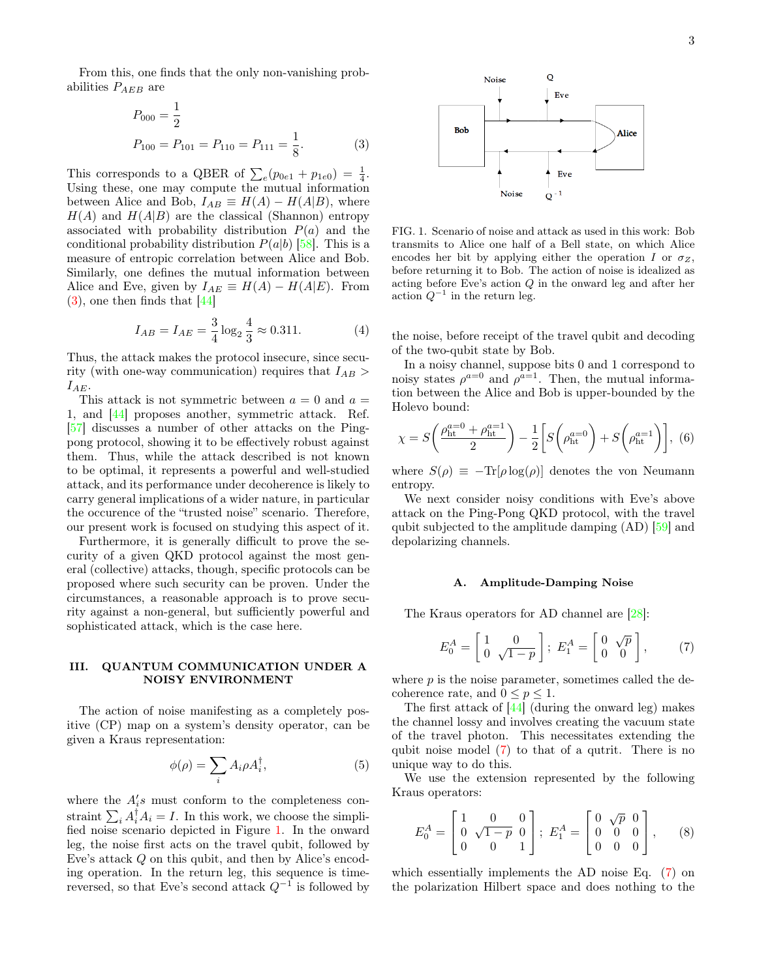From this, one finds that the only non-vanishing probabilities  $P_{AEB}$  are

$$
P_{000} = \frac{1}{2}
$$
  
\n
$$
P_{100} = P_{101} = P_{110} = P_{111} = \frac{1}{8}.
$$
 (3)

This corresponds to a QBER of  $\sum_{e} (p_{0e1} + p_{1e0}) = \frac{1}{4}$ . Using these, one may compute the mutual information between Alice and Bob,  $I_{AB} \equiv H(A) - H(A|B)$ , where  $H(A)$  and  $H(A|B)$  are the classical (Shannon) entropy associated with probability distribution  $P(a)$  and the conditional probability distribution  $P(a|b)$  [58]. This is a measure of entropic correlation between Alice and Bob. Similarly, one defines the mutual information between Alice and Eve, given by  $I_{AE} \equiv H(A) - H(A|E)$ . From  $(3)$ , one then finds that  $[44]$ 

$$
I_{AB} = I_{AE} = \frac{3}{4} \log_2 \frac{4}{3} \approx 0.311. \tag{4}
$$

Thus, the attack makes the protocol insecure, since security (with one-way communication) requires that  $I_{AB}$  $I_{AE}$ .

This attack is not symmetric between  $a = 0$  and  $a =$ 1, and [44] proposes another, symmetric attack. Ref. [57] discusses a number of other attacks on the Pingpong protocol, showing it to be effectively robust against them. Thus, while the attack described is not known to be optimal, it represents a powerful and well-studied attack, and its performance under decoherence is likely to carry general implications of a wider nature, in particular the occurence of the "trusted noise" scenario. Therefore, our present work is focused on studying this aspect of it.

Furthermore, it is generally difficult to prove the security of a given QKD protocol against the most general (collective) attacks, though, specific protocols can be proposed where such security can be proven. Under the circumstances, a reasonable approach is to prove security against a non-general, but sufficiently powerful and sophisticated attack, which is the case here.

## III. QUANTUM COMMUNICATION UNDER A NOISY ENVIRONMENT

The action of noise manifesting as a completely positive (CP) map on a system's density operator, can be given a Kraus representation:

$$
\phi(\rho) = \sum_{i} A_i \rho A_i^{\dagger},\tag{5}
$$

where the  $A_i$ 's must conform to the completeness constraint  $\sum_i A_i^{\dagger} A_i = I$ . In this work, we choose the simplified noise scenario depicted in Figure 1. In the onward leg, the noise first acts on the travel qubit, followed by Eve's attack Q on this qubit, and then by Alice's encoding operation. In the return leg, this sequence is timereversed, so that Eve's second attack  $Q^{-1}$  is followed by



FIG. 1. Scenario of noise and attack as used in this work: Bob transmits to Alice one half of a Bell state, on which Alice encodes her bit by applying either the operation I or  $\sigma_Z$ , before returning it to Bob. The action of noise is idealized as acting before Eve's action Q in the onward leg and after her action  $Q^{-1}$  in the return leg.

the noise, before receipt of the travel qubit and decoding of the two-qubit state by Bob.

In a noisy channel, suppose bits 0 and 1 correspond to noisy states  $\rho^{a=0}$  and  $\rho^{a=1}$ . Then, the mutual information between the Alice and Bob is upper-bounded by the Holevo bound:

$$
\chi = S\left(\frac{\rho_{\rm ht}^{a=0} + \rho_{\rm ht}^{a=1}}{2}\right) - \frac{1}{2} \left[ S\left(\rho_{\rm ht}^{a=0}\right) + S\left(\rho_{\rm ht}^{a=1}\right) \right], (6)
$$

where  $S(\rho) \equiv -\text{Tr}[\rho \log(\rho)]$  denotes the von Neumann entropy.

We next consider noisy conditions with Eve's above attack on the Ping-Pong QKD protocol, with the travel qubit subjected to the amplitude damping (AD) [59] and depolarizing channels.

#### A. Amplitude-Damping Noise

The Kraus operators for AD channel are [28]:

$$
E_0^A = \begin{bmatrix} 1 & 0 \\ 0 & \sqrt{1-p} \end{bmatrix}; \ E_1^A = \begin{bmatrix} 0 & \sqrt{p} \\ 0 & 0 \end{bmatrix}, \ (7)
$$

where  $p$  is the noise parameter, sometimes called the decoherence rate, and  $0 \leq p \leq 1$ .

The first attack of [44] (during the onward leg) makes the channel lossy and involves creating the vacuum state of the travel photon. This necessitates extending the qubit noise model (7) to that of a qutrit. There is no unique way to do this.

We use the extension represented by the following Kraus operators:

$$
E_0^A = \begin{bmatrix} 1 & 0 & 0 \\ 0 & \sqrt{1-p} & 0 \\ 0 & 0 & 1 \end{bmatrix}; E_1^A = \begin{bmatrix} 0 & \sqrt{p} & 0 \\ 0 & 0 & 0 \\ 0 & 0 & 0 \end{bmatrix}, \quad (8)
$$

which essentially implements the AD noise Eq. (7) on the polarization Hilbert space and does nothing to the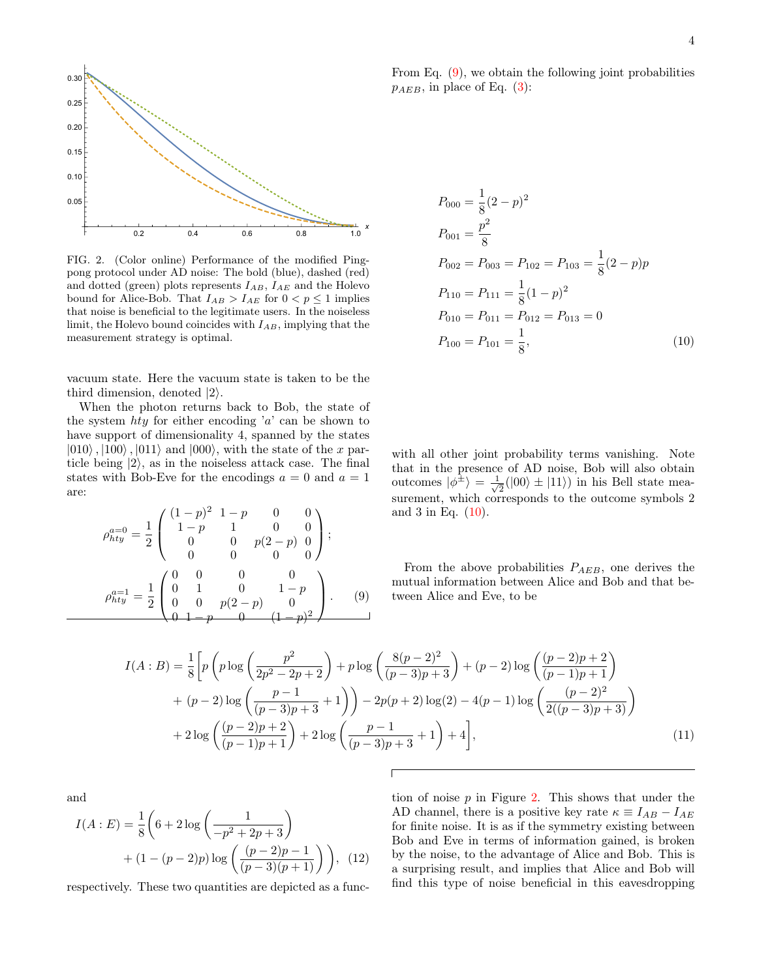

FIG. 2. (Color online) Performance of the modified Pingpong protocol under AD noise: The bold (blue), dashed (red) and dotted (green) plots represents  $I_{AB}$ ,  $I_{AE}$  and the Holevo bound for Alice-Bob. That  $I_{AB} > I_{AE}$  for  $0 < p \le 1$  implies that noise is beneficial to the legitimate users. In the noiseless limit, the Holevo bound coincides with  $I_{AB}$ , implying that the measurement strategy is optimal.

vacuum state. Here the vacuum state is taken to be the third dimension, denoted  $|2\rangle$ .

When the photon returns back to Bob, the state of the system  $hty$  for either encoding 'a' can be shown to have support of dimensionality 4, spanned by the states  $|010\rangle$ ,  $|100\rangle$ ,  $|011\rangle$  and  $|000\rangle$ , with the state of the x particle being  $|2\rangle$ , as in the noiseless attack case. The final states with Bob-Eve for the encodings  $a = 0$  and  $a = 1$ are:

$$
\rho_{hty}^{a=0} = \frac{1}{2} \begin{pmatrix} (1-p)^2 & 1-p & 0 & 0 \\ 1-p & 1 & 0 & 0 \\ 0 & 0 & p(2-p) & 0 \\ 0 & 0 & 0 & 0 \end{pmatrix};
$$

$$
\rho_{hty}^{a=1} = \frac{1}{2} \begin{pmatrix} 0 & 0 & 0 & 0 \\ 0 & 1 & 0 & 1-p \\ 0 & 0 & p(2-p) & 0 \\ 0 & 1-p & 0 & (1-p)^2 \end{pmatrix}.
$$
(9)

From Eq. (9), we obtain the following joint probabilities  $p_{AEB}$ , in place of Eq. (3):

$$
P_{000} = \frac{1}{8}(2 - p)^2
$$
  
\n
$$
P_{001} = \frac{p^2}{8}
$$
  
\n
$$
P_{002} = P_{003} = P_{102} = P_{103} = \frac{1}{8}(2 - p)p
$$
  
\n
$$
P_{110} = P_{111} = \frac{1}{8}(1 - p)^2
$$
  
\n
$$
P_{010} = P_{011} = P_{012} = P_{013} = 0
$$
  
\n
$$
P_{100} = P_{101} = \frac{1}{8},
$$
\n(10)

with all other joint probability terms vanishing. Note that in the presence of AD noise, Bob will also obtain outcomes  $|\phi^{\pm}\rangle = \frac{1}{\sqrt{2}}$  $\frac{1}{2}(|00\rangle \pm |11\rangle)$  in his Bell state measurement, which corresponds to the outcome symbols 2 and 3 in Eq. (10).

From the above probabilities  $P_{AEB}$ , one derives the mutual information between Alice and Bob and that between Alice and Eve, to be

$$
I(A:B) = \frac{1}{8} \left[ p \left( p \log \left( \frac{p^2}{2p^2 - 2p + 2} \right) + p \log \left( \frac{8(p-2)^2}{(p-3)p + 3} \right) + (p-2) \log \left( \frac{(p-2)p + 2}{(p-1)p + 1} \right) \right] + (p-2) \log \left( \frac{p-1}{(p-3)p + 3} + 1 \right) \right) - 2p(p+2) \log(2) - 4(p-1) \log \left( \frac{(p-2)^2}{2((p-3)p + 3)} \right) + 2 \log \left( \frac{(p-2)p + 2}{(p-1)p + 1} \right) + 2 \log \left( \frac{p-1}{(p-3)p + 3} + 1 \right) + 4 \right],
$$
\n(11)

and

$$
I(A:E) = \frac{1}{8} \left( 6 + 2 \log \left( \frac{1}{-p^2 + 2p + 3} \right) + (1 - (p - 2)p) \log \left( \frac{(p - 2)p - 1}{(p - 3)(p + 1)} \right) \right), \quad (12)
$$

respectively. These two quantities are depicted as a func-

tion of noise  $p$  in Figure 2. This shows that under the AD channel, there is a positive key rate  $\kappa \equiv I_{AB} - I_{AE}$ for finite noise. It is as if the symmetry existing between Bob and Eve in terms of information gained, is broken by the noise, to the advantage of Alice and Bob. This is a surprising result, and implies that Alice and Bob will find this type of noise beneficial in this eavesdropping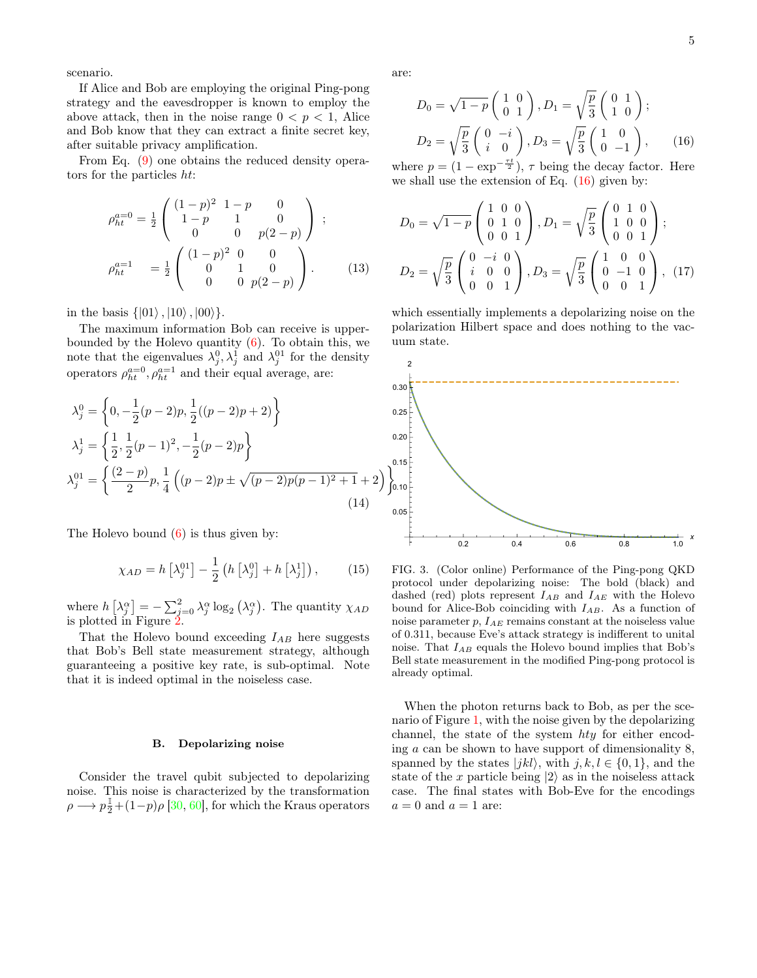scenario.

If Alice and Bob are employing the original Ping-pong strategy and the eavesdropper is known to employ the above attack, then in the noise range  $0 < p < 1$ , Alice and Bob know that they can extract a finite secret key, after suitable privacy amplification.

From Eq. (9) one obtains the reduced density operators for the particles ht:

$$
\rho_{ht}^{a=0} = \frac{1}{2} \begin{pmatrix} (1-p)^2 & 1-p & 0 \\ 1-p & 1 & 0 \\ 0 & 0 & p(2-p) \end{pmatrix} ;
$$
  
\n
$$
\rho_{ht}^{a=1} = \frac{1}{2} \begin{pmatrix} (1-p)^2 & 0 & 0 \\ 0 & 1 & 0 \\ 0 & 0 & p(2-p) \end{pmatrix} .
$$
 (13)

in the basis  $\{|01\rangle, |10\rangle, |00\rangle\}.$ 

The maximum information Bob can receive is upperbounded by the Holevo quantity  $(6)$ . To obtain this, we note that the eigenvalues  $\lambda_j^0, \lambda_j^1$  and  $\lambda_j^{01}$  for the density operators  $\rho_{ht}^{a=0}$ ,  $\rho_{ht}^{a=1}$  and their equal average, are:

$$
\lambda_j^0 = \left\{ 0, -\frac{1}{2}(p-2)p, \frac{1}{2}((p-2)p+2) \right\}
$$
  
\n
$$
\lambda_j^1 = \left\{ \frac{1}{2}, \frac{1}{2}(p-1)^2, -\frac{1}{2}(p-2)p \right\}
$$
  
\n
$$
\lambda_j^{01} = \left\{ \frac{(2-p)}{2}p, \frac{1}{4}((p-2)p \pm \sqrt{(p-2)p(p-1)^2+1}+2) \right\}
$$
  
\n(14)

The Holevo bound (6) is thus given by:

$$
\chi_{AD} = h\left[\lambda_j^{01}\right] - \frac{1}{2} \left(h\left[\lambda_j^{0}\right] + h\left[\lambda_j^{1}\right]\right),\tag{15}
$$

where  $h\left[\lambda_j^{\alpha}\right] = -\sum_{j=0}^2 \lambda_j^{\alpha} \log_2\left(\lambda_j^{\alpha}\right)$ . The quantity  $\chi_{AD}$ is plotted in Figure 2.

That the Holevo bound exceeding  $I_{AB}$  here suggests that Bob's Bell state measurement strategy, although guaranteeing a positive key rate, is sub-optimal. Note that it is indeed optimal in the noiseless case.

### B. Depolarizing noise

Consider the travel qubit subjected to depolarizing noise. This noise is characterized by the transformation  $\rho \longrightarrow p\frac{1}{2} + (1-p)\rho$  [30, 60], for which the Kraus operators are:

$$
D_0 = \sqrt{1-p} \begin{pmatrix} 1 & 0 \\ 0 & 1 \end{pmatrix}, D_1 = \sqrt{\frac{p}{3}} \begin{pmatrix} 0 & 1 \\ 1 & 0 \end{pmatrix};
$$
  
\n
$$
D_2 = \sqrt{\frac{p}{3}} \begin{pmatrix} 0 & -i \\ i & 0 \end{pmatrix}, D_3 = \sqrt{\frac{p}{3}} \begin{pmatrix} 1 & 0 \\ 0 & -1 \end{pmatrix}, \qquad (16)
$$

where  $p = (1 - \exp^{-\frac{\tau t}{2}}), \tau$  being the decay factor. Here we shall use the extension of Eq.  $(16)$  given by:

$$
D_0 = \sqrt{1-p} \begin{pmatrix} 1 & 0 & 0 \\ 0 & 1 & 0 \\ 0 & 0 & 1 \end{pmatrix}, D_1 = \sqrt{\frac{p}{3}} \begin{pmatrix} 0 & 1 & 0 \\ 1 & 0 & 0 \\ 0 & 0 & 1 \end{pmatrix};
$$
  

$$
D_2 = \sqrt{\frac{p}{3}} \begin{pmatrix} 0 & -i & 0 \\ i & 0 & 0 \\ 0 & 0 & 1 \end{pmatrix}, D_3 = \sqrt{\frac{p}{3}} \begin{pmatrix} 1 & 0 & 0 \\ 0 & -1 & 0 \\ 0 & 0 & 1 \end{pmatrix}, (17)
$$

which essentially implements a depolarizing noise on the polarization Hilbert space and does nothing to the vacuum state.



FIG. 3. (Color online) Performance of the Ping-pong QKD protocol under depolarizing noise: The bold (black) and dashed (red) plots represent  $I_{AB}$  and  $I_{AE}$  with the Holevo bound for Alice-Bob coinciding with  $I_{AB}$ . As a function of noise parameter  $p$ ,  $I_{AE}$  remains constant at the noiseless value of 0.311, because Eve's attack strategy is indifferent to unital noise. That  $I_{AB}$  equals the Holevo bound implies that Bob's Bell state measurement in the modified Ping-pong protocol is already optimal.

When the photon returns back to Bob, as per the scenario of Figure 1, with the noise given by the depolarizing channel, the state of the system hty for either encoding a can be shown to have support of dimensionality 8, spanned by the states  $|jkl\rangle$ , with  $j, k, l \in \{0, 1\}$ , and the state of the x particle being  $|2\rangle$  as in the noiseless attack case. The final states with Bob-Eve for the encodings  $a = 0$  and  $a = 1$  are: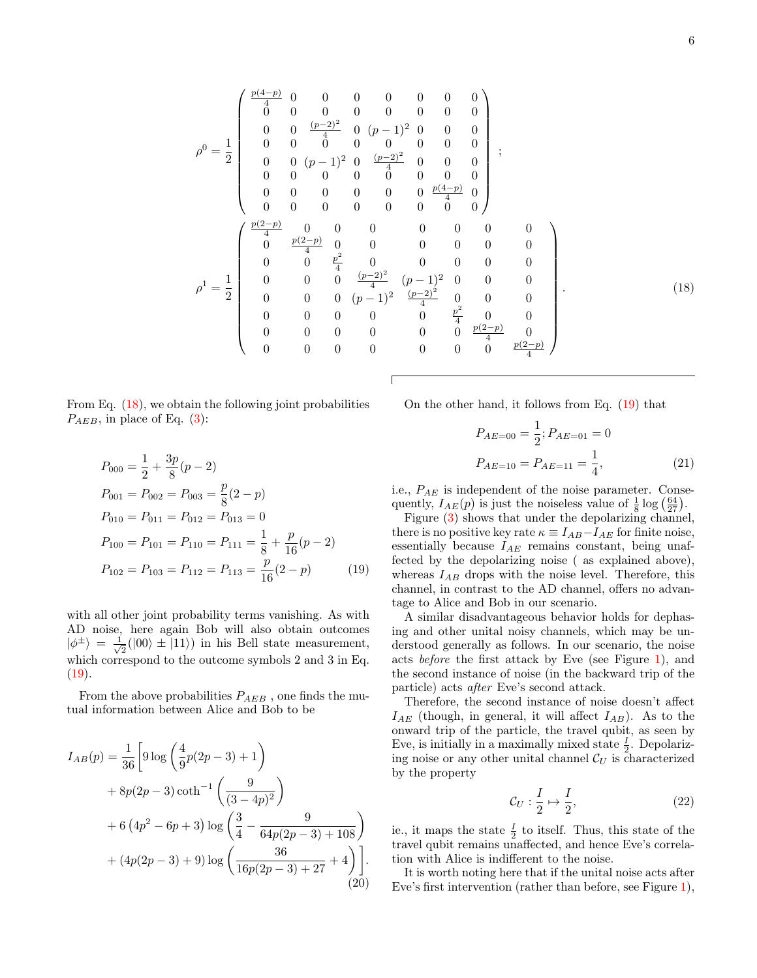$$
\rho^{0} = \frac{1}{2} \begin{pmatrix}\n\frac{p(4-p)}{4} & 0 & 0 & 0 & 0 & 0 & 0 & 0 \\
0 & 0 & 0 & 0 & 0 & 0 & 0 & 0 \\
0 & 0 & \frac{(p-2)^{2}}{4} & 0 & (p-1)^{2} & 0 & 0 & 0 \\
0 & 0 & 0 & 0 & 0 & 0 & 0 & 0 \\
0 & 0 & (p-1)^{2} & 0 & \frac{(p-2)^{2}}{4} & 0 & 0 & 0 \\
0 & 0 & 0 & 0 & 0 & 0 & 0 & 0 \\
0 & 0 & 0 & 0 & 0 & 0 & 0 & 0 \\
0 & 0 & 0 & 0 & 0 & 0 & 0 & 0 \\
0 & 0 & \frac{p(2-p)}{4} & 0 & 0 & 0 & 0 & 0 \\
0 & 0 & \frac{p^{2}}{4} & 0 & 0 & 0 & 0 & 0 \\
0 & 0 & \frac{p^{2}}{4} & 0 & 0 & 0 & 0 & 0 \\
0 & 0 & 0 & \frac{(p-2)^{2}}{4} & (p-1)^{2} & 0 & 0 & 0 \\
0 & 0 & 0 & (p-1)^{2} & \frac{(p-2)^{2}}{4} & 0 & 0 & 0 \\
0 & 0 & 0 & 0 & 0 & \frac{p^{2}}{4} & 0 & 0 \\
0 & 0 & 0 & 0 & 0 & 0 & \frac{p(2-p)}{4} & 0 \\
0 & 0 & 0 & 0 & 0 & 0 & \frac{p(2-p)}{4} & 0 \\
0 & 0 & 0 & 0 & 0 & 0 & 0 & \frac{p(2-p)}{4}\n\end{pmatrix}.
$$
\n(18)

From Eq. (18), we obtain the following joint probabilities  $P_{AEB}$ , in place of Eq. (3):

$$
P_{000} = \frac{1}{2} + \frac{3p}{8}(p-2)
$$
  
\n
$$
P_{001} = P_{002} = P_{003} = \frac{p}{8}(2-p)
$$
  
\n
$$
P_{010} = P_{011} = P_{012} = P_{013} = 0
$$
  
\n
$$
P_{100} = P_{101} = P_{110} = P_{111} = \frac{1}{8} + \frac{p}{16}(p-2)
$$
  
\n
$$
P_{102} = P_{103} = P_{112} = P_{113} = \frac{p}{16}(2-p)
$$
 (19)

with all other joint probability terms vanishing. As with AD noise, here again Bob will also obtain outcomes  $|\phi^{\pm}\rangle = \frac{1}{\sqrt{2}}$  $\overline{2}(00) \pm |11\rangle)$  in his Bell state measurement, which correspond to the outcome symbols 2 and 3 in Eq.  $(19).$ 

From the above probabilities  $P_{AEB}$ , one finds the mutual information between Alice and Bob to be

$$
I_{AB}(p) = \frac{1}{36} \left[ 9 \log \left( \frac{4}{9} p(2p - 3) + 1 \right) +8p(2p - 3) \coth^{-1} \left( \frac{9}{(3 - 4p)^2} \right) +6 \left( 4p^2 - 6p + 3 \right) \log \left( \frac{3}{4} - \frac{9}{64p(2p - 3) + 108} \right) + (4p(2p - 3) + 9) \log \left( \frac{36}{16p(2p - 3) + 27} + 4 \right) \right].
$$
\n(20)

On the other hand, it follows from Eq. (19) that

$$
P_{AE=00} = \frac{1}{2}; P_{AE=01} = 0
$$
  

$$
P_{AE=10} = P_{AE=11} = \frac{1}{4},
$$
 (21)

i.e.,  $P_{AE}$  is independent of the noise parameter. Consequently,  $I_{AE}(p)$  is just the noiseless value of  $\frac{1}{8} \log \left( \frac{64}{27} \right)$ .

Figure (3) shows that under the depolarizing channel, there is no positive key rate  $\kappa \equiv I_{AB}-I_{AE}$  for finite noise, essentially because  $I_{AE}$  remains constant, being unaffected by the depolarizing noise ( as explained above), whereas  $I_{AB}$  drops with the noise level. Therefore, this channel, in contrast to the AD channel, offers no advantage to Alice and Bob in our scenario.

A similar disadvantageous behavior holds for dephasing and other unital noisy channels, which may be understood generally as follows. In our scenario, the noise acts before the first attack by Eve (see Figure 1), and the second instance of noise (in the backward trip of the particle) acts after Eve's second attack.

Therefore, the second instance of noise doesn't affect  $I_{AE}$  (though, in general, it will affect  $I_{AB}$ ). As to the onward trip of the particle, the travel qubit, as seen by Eve, is initially in a maximally mixed state  $\frac{I}{2}$ . Depolarizing noise or any other unital channel  $\mathcal{C}_U$  is characterized by the property

$$
\mathcal{C}_U: \frac{I}{2} \mapsto \frac{I}{2},\tag{22}
$$

ie., it maps the state  $\frac{I}{2}$  to itself. Thus, this state of the travel qubit remains unaffected, and hence Eve's correlation with Alice is indifferent to the noise.

It is worth noting here that if the unital noise acts after Eve's first intervention (rather than before, see Figure 1),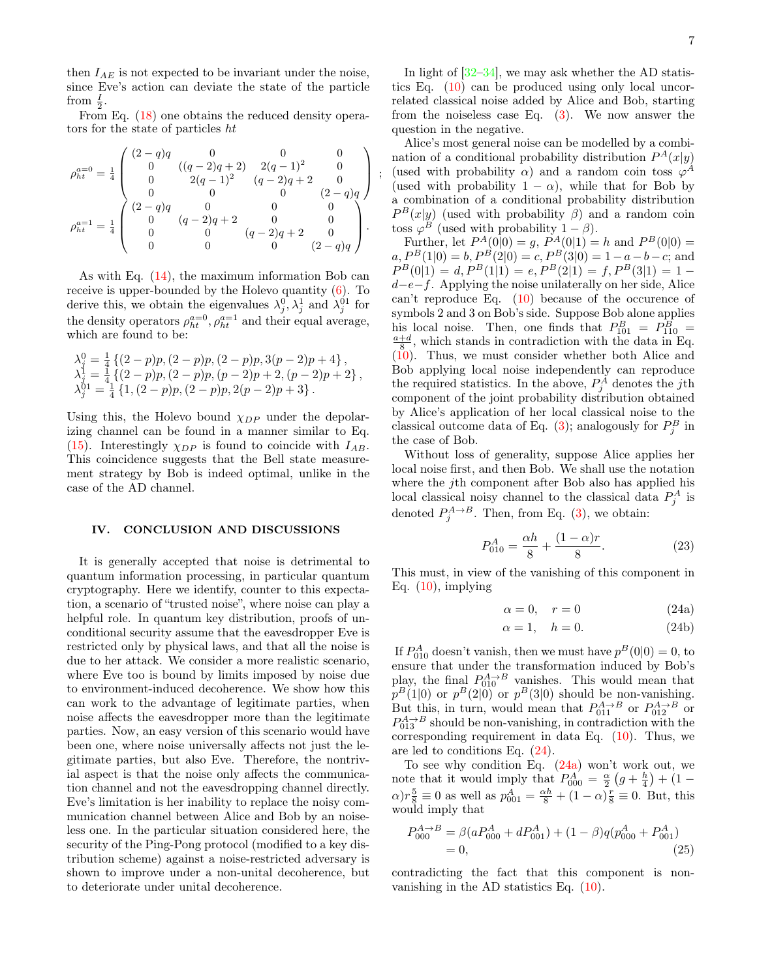then  $I_{AE}$  is not expected to be invariant under the noise, since Eve's action can deviate the state of the particle from  $\frac{I}{2}$ .

From Eq.  $(18)$  one obtains the reduced density operators for the state of particles ht

$$
\rho_{ht}^{a=0} = \frac{1}{4} \begin{pmatrix} (2-q)q & 0 & 0 & 0 \\ 0 & ((q-2)q+2) & 2(q-1)^2 & 0 \\ 0 & 2(q-1)^2 & (q-2)q+2 & 0 \\ 0 & 0 & 0 & (2-q)q \\ 0 & (q-2)q+2 & 0 & 0 \\ 0 & (q-2)q+2 & 0 & 0 \\ 0 & 0 & (q-2)q+2 & 0 \\ 0 & 0 & 0 & (2-q)q \end{pmatrix}.
$$

As with Eq. (14), the maximum information Bob can receive is upper-bounded by the Holevo quantity (6). To derive this, we obtain the eigenvalues  $\lambda_j^0$ ,  $\lambda_j^1$  and  $\lambda_j^{01}$  for the density operators  $\rho_{ht}^{a=0}$ ,  $\rho_{ht}^{a=1}$  and their equal average, which are found to be:

$$
\begin{array}{l} \lambda_j^0 = \frac{1}{4} \left\{ (2-p)p, (2-p)p, (2-p)p, 3(p-2)p+4 \right\}, \\ \lambda_j^1 = \frac{1}{4} \left\{ (2-p)p, (2-p)p, (p-2)p+2, (p-2)p+2 \right\}, \\ \lambda_j^{01} = \frac{1}{4} \left\{ 1, (2-p)p, (2-p)p, 2(p-2)p+3 \right\}. \end{array}
$$

Using this, the Holevo bound  $\chi_{DP}$  under the depolarizing channel can be found in a manner similar to Eq. (15). Interestingly  $\chi_{DP}$  is found to coincide with  $I_{AB}$ . This coincidence suggests that the Bell state measurement strategy by Bob is indeed optimal, unlike in the case of the AD channel.

## IV. CONCLUSION AND DISCUSSIONS

It is generally accepted that noise is detrimental to quantum information processing, in particular quantum cryptography. Here we identify, counter to this expectation, a scenario of "trusted noise", where noise can play a helpful role. In quantum key distribution, proofs of unconditional security assume that the eavesdropper Eve is restricted only by physical laws, and that all the noise is due to her attack. We consider a more realistic scenario, where Eve too is bound by limits imposed by noise due to environment-induced decoherence. We show how this can work to the advantage of legitimate parties, when noise affects the eavesdropper more than the legitimate parties. Now, an easy version of this scenario would have been one, where noise universally affects not just the legitimate parties, but also Eve. Therefore, the nontrivial aspect is that the noise only affects the communication channel and not the eavesdropping channel directly. Eve's limitation is her inability to replace the noisy communication channel between Alice and Bob by an noiseless one. In the particular situation considered here, the security of the Ping-Pong protocol (modified to a key distribution scheme) against a noise-restricted adversary is shown to improve under a non-unital decoherence, but to deteriorate under unital decoherence.

In light of  $[32-34]$ , we may ask whether the AD statistics Eq. (10) can be produced using only local uncorrelated classical noise added by Alice and Bob, starting from the noiseless case Eq. (3). We now answer the question in the negative.

Alice's most general noise can be modelled by a combination of a conditional probability distribution  $P^{A}(x|y)$ (used with probability  $\alpha$ ) and a random coin toss  $\varphi^A$ (used with probability  $1 - \alpha$ ), while that for Bob by a combination of a conditional probability distribution  $P^{B}(x|y)$  (used with probability  $\beta$ ) and a random coin toss  $\varphi^B$  (used with probability  $1-\beta$ ).

;

Further, let  $P^{A}(0|0) = g$ ,  $P^{A}(0|1) = h$  and  $P^{B}(0|0) =$  $a, P<sup>B</sup>(1|0) = b, P<sup>B</sup>(2|0) = c, P<sup>B</sup>(3|0) = 1-a-b-c$ ; and  $P^B(0|1) = d, P^B(1|1) = e, P^B(2|1) = f, P^B(3|1) = 1$  $d-e-f$ . Applying the noise unilaterally on her side, Alice can't reproduce Eq. (10) because of the occurence of symbols 2 and 3 on Bob's side. Suppose Bob alone applies his local noise. Then, one finds that  $P_{101}^B = P_{110}^B =$ <br> $\frac{a+d}{8}$ , which stands in contradiction with the data in Eq.  $(10)$ . Thus, we must consider whether both Alice and Bob applying local noise independently can reproduce the required statistics. In the above,  $P_j^A$  denotes the *j*th component of the joint probability distribution obtained by Alice's application of her local classical noise to the classical outcome data of Eq. (3); analogously for  $P_j^B$  in the case of Bob.

Without loss of generality, suppose Alice applies her local noise first, and then Bob. We shall use the notation where the j<sup>th</sup> component after Bob also has applied his local classical noisy channel to the classical data  $P_j^A$  is denoted  $P_j^{A\rightarrow B}$ . Then, from Eq. (3), we obtain:

$$
P_{010}^A = \frac{\alpha h}{8} + \frac{(1 - \alpha)r}{8}.
$$
 (23)

This must, in view of the vanishing of this component in Eq.  $(10)$ , implying

$$
\alpha = 0, \quad r = 0 \tag{24a}
$$

$$
\alpha = 1, \quad h = 0. \tag{24b}
$$

If  $P_{010}^A$  doesn't vanish, then we must have  $p^B(0|0) = 0$ , to ensure that under the transformation induced by Bob's play, the final  $P_{010}^{A\to B}$  vanishes. This would mean that  $p^B(1|0)$  or  $p^B(2|0)$  or  $p^B(3|0)$  should be non-vanishing. But this, in turn, would mean that  $P_{011}^{A \rightarrow B}$  or  $P_{012}^{A \rightarrow B}$  or  $P_{013}^{A\rightarrow B}$  should be non-vanishing, in contradiction with the corresponding requirement in data Eq.  $(10)$ . Thus, we are led to conditions Eq. (24).

To see why condition Eq. (24a) won't work out, we note that it would imply that  $P_{000}^A = \frac{\alpha}{2} \left( g + \frac{h}{4} \right) + (1 \alpha$ ) $r \frac{5}{8} \equiv 0$  as well as  $p_{001}^A = \frac{\alpha h}{8} + (1 - \alpha) \frac{r}{8} \equiv 0$ . But, this would imply that

$$
P_{000}^{A \to B} = \beta(aP_{000}^A + dP_{001}^A) + (1 - \beta)q(p_{000}^A + P_{001}^A)
$$
  
= 0, (25)

contradicting the fact that this component is nonvanishing in the AD statistics Eq. (10).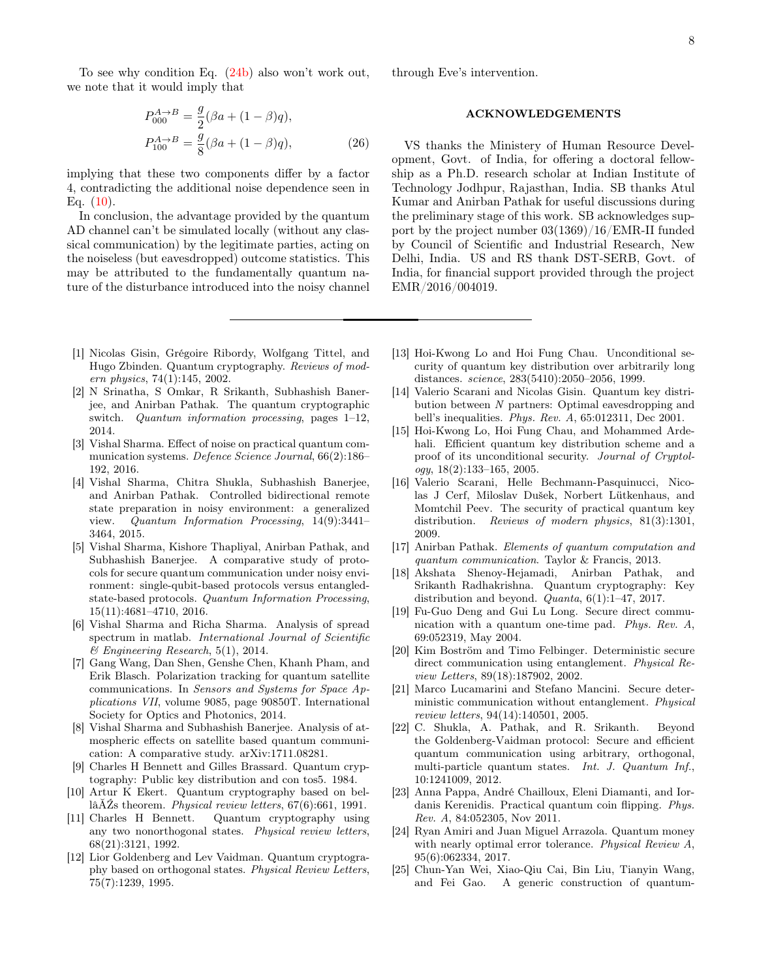To see why condition Eq. (24b) also won't work out, we note that it would imply that

$$
P_{000}^{A \to B} = \frac{g}{2} (\beta a + (1 - \beta) q),
$$
  
\n
$$
P_{100}^{A \to B} = \frac{g}{8} (\beta a + (1 - \beta) q),
$$
\n(26)

implying that these two components differ by a factor 4, contradicting the additional noise dependence seen in Eq.  $(10)$ .

In conclusion, the advantage provided by the quantum AD channel can't be simulated locally (without any classical communication) by the legitimate parties, acting on the noiseless (but eavesdropped) outcome statistics. This may be attributed to the fundamentally quantum nature of the disturbance introduced into the noisy channel through Eve's intervention.

## ACKNOWLEDGEMENTS

VS thanks the Ministery of Human Resource Development, Govt. of India, for offering a doctoral fellowship as a Ph.D. research scholar at Indian Institute of Technology Jodhpur, Rajasthan, India. SB thanks Atul Kumar and Anirban Pathak for useful discussions during the preliminary stage of this work. SB acknowledges support by the project number 03(1369)/16/EMR-II funded by Council of Scientific and Industrial Research, New Delhi, India. US and RS thank DST-SERB, Govt. of India, for financial support provided through the project EMR/2016/004019.

- [1] Nicolas Gisin, Grégoire Ribordy, Wolfgang Tittel, and Hugo Zbinden. Quantum cryptography. *Reviews of modern physics*, 74(1):145, 2002.
- [2] N Srinatha, S Omkar, R Srikanth, Subhashish Banerjee, and Anirban Pathak. The quantum cryptographic switch. *Quantum information processing*, pages 1–12, 2014.
- [3] Vishal Sharma. Effect of noise on practical quantum communication systems. *Defence Science Journal*, 66(2):186– 192, 2016.
- [4] Vishal Sharma, Chitra Shukla, Subhashish Banerjee, and Anirban Pathak. Controlled bidirectional remote state preparation in noisy environment: a generalized view. *Quantum Information Processing*, 14(9):3441– 3464, 2015.
- [5] Vishal Sharma, Kishore Thapliyal, Anirban Pathak, and Subhashish Banerjee. A comparative study of protocols for secure quantum communication under noisy environment: single-qubit-based protocols versus entangledstate-based protocols. *Quantum Information Processing*, 15(11):4681–4710, 2016.
- [6] Vishal Sharma and Richa Sharma. Analysis of spread spectrum in matlab. *International Journal of Scientific & Engineering Research*, 5(1), 2014.
- [7] Gang Wang, Dan Shen, Genshe Chen, Khanh Pham, and Erik Blasch. Polarization tracking for quantum satellite communications. In *Sensors and Systems for Space Applications VII*, volume 9085, page 90850T. International Society for Optics and Photonics, 2014.
- [8] Vishal Sharma and Subhashish Banerjee. Analysis of atmospheric effects on satellite based quantum communication: A comparative study. arXiv:1711.08281.
- [9] Charles H Bennett and Gilles Brassard. Quantum cryptography: Public key distribution and con tos5. 1984.
- [10] Artur K Ekert. Quantum cryptography based on bellâĂŹs theorem. *Physical review letters*, 67(6):661, 1991.
- [11] Charles H Bennett. Quantum cryptography using any two nonorthogonal states. *Physical review letters*, 68(21):3121, 1992.
- [12] Lior Goldenberg and Lev Vaidman. Quantum cryptography based on orthogonal states. *Physical Review Letters*, 75(7):1239, 1995.
- [13] Hoi-Kwong Lo and Hoi Fung Chau. Unconditional security of quantum key distribution over arbitrarily long distances. *science*, 283(5410):2050–2056, 1999.
- [14] Valerio Scarani and Nicolas Gisin. Quantum key distribution between *N* partners: Optimal eavesdropping and bell's inequalities. *Phys. Rev. A*, 65:012311, Dec 2001.
- [15] Hoi-Kwong Lo, Hoi Fung Chau, and Mohammed Ardehali. Efficient quantum key distribution scheme and a proof of its unconditional security. *Journal of Cryptology*, 18(2):133–165, 2005.
- [16] Valerio Scarani, Helle Bechmann-Pasquinucci, Nicolas J Cerf, Miloslav Dušek, Norbert Lütkenhaus, and Momtchil Peev. The security of practical quantum key distribution. *Reviews of modern physics*, 81(3):1301, 2009.
- [17] Anirban Pathak. *Elements of quantum computation and quantum communication*. Taylor & Francis, 2013.
- [18] Akshata Shenoy-Hejamadi, Anirban Pathak, and Srikanth Radhakrishna. Quantum cryptography: Key distribution and beyond. *Quanta*, 6(1):1–47, 2017.
- [19] Fu-Guo Deng and Gui Lu Long. Secure direct communication with a quantum one-time pad. *Phys. Rev. A*, 69:052319, May 2004.
- [20] Kim Boström and Timo Felbinger. Deterministic secure direct communication using entanglement. *Physical Review Letters*, 89(18):187902, 2002.
- [21] Marco Lucamarini and Stefano Mancini. Secure deterministic communication without entanglement. *Physical review letters*, 94(14):140501, 2005.
- [22] C. Shukla, A. Pathak, and R. Srikanth. Beyond the Goldenberg-Vaidman protocol: Secure and efficient quantum communication using arbitrary, orthogonal, multi-particle quantum states. *Int. J. Quantum Inf.*, 10:1241009, 2012.
- [23] Anna Pappa, André Chailloux, Eleni Diamanti, and Iordanis Kerenidis. Practical quantum coin flipping. *Phys. Rev. A*, 84:052305, Nov 2011.
- [24] Ryan Amiri and Juan Miguel Arrazola. Quantum money with nearly optimal error tolerance. *Physical Review A*, 95(6):062334, 2017.
- [25] Chun-Yan Wei, Xiao-Qiu Cai, Bin Liu, Tianyin Wang, and Fei Gao. A generic construction of quantum-